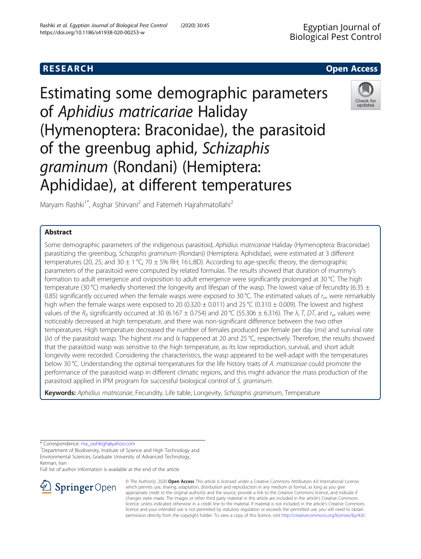

Estimating some demographic parameters of Aphidius matricariae Haliday (Hymenoptera: Braconidae), the parasitoid of the greenbug aphid, Schizaphis graminum (Rondani) (Hemiptera: Aphididae), at different temperatures



Maryam Rashki<sup>1\*</sup>, Asghar Shirvani<sup>2</sup> and Fatemeh Hajrahmatollahi<sup>2</sup>

# Abstract

Some demographic parameters of the indigenous parasitoid, Aphidius matricariae Haliday (Hymenoptera: Braconidae) parasitizing the greenbug, Schizaphis graminum (Rondani) (Hemiptera: Aphididae), were estimated at 3 different temperatures (20, 25, and 30  $\pm$  1 °C; 70  $\pm$  5% RH; 16 L:8D). According to age-specific theory, the demographic parameters of the parasitoid were computed by related formulas. The results showed that duration of mummy's formation to adult emergence and oviposition to adult emergence were significantly prolonged at 30 °C. The high temperature (30 °C) markedly shortened the longevity and lifespan of the wasp. The lowest value of fecundity (6.35  $\pm$ 0.85) significantly occurred when the female wasps were exposed to 30 °C. The estimated values of  $r_m$  were remarkably high when the female wasps were exposed to 20 (0.320  $\pm$  0.011) and 25 °C (0.310  $\pm$  0.009). The lowest and highest values of the  $R_0$  significantly occurred at 30 (6.167  $\pm$  0.754) and 20 °C (55.306  $\pm$  6.316). The  $\lambda$ , T, DT, and  $r_w$  values were noticeably decreased at high temperature, and there was non-significant difference between the two other temperatures. High temperature decreased the number of females produced per female per day (mx) and survival rate ( $|x\rangle$ ) of the parasitoid wasp. The highest mx and  $|x$  happened at 20 and 25 °C, respectively. Therefore, the results showed that the parasitoid wasp was sensitive to the high temperature, as its low reproduction, survival, and short adult longevity were recorded. Considering the characteristics, the wasp appeared to be well-adapt with the temperatures below 30 °C. Understanding the optimal temperatures for the life history traits of A. matricariae could promote the performance of the parasitoid wasp in different climatic regions, and this might advance the mass production of the parasitoid applied in IPM program for successful biological control of S. graminum.

Keywords: Aphidius matricariae, Fecundity, Life table, Longevity, Schizaphis graminum, Temperature

\* Correspondence: [ma\\_rashkigh@yahoo.com](mailto:ma_rashkigh@yahoo.com) <sup>1</sup>

<sup>1</sup>Department of Biodiversity, Institute of Science and High Technology and Environmental Sciences, Graduate University of Advanced Technology, Kerman, Iran

Full list of author information is available at the end of the article



© The Author(s). 2020 Open Access This article is licensed under a Creative Commons Attribution 4.0 International License, which permits use, sharing, adaptation, distribution and reproduction in any medium or format, as long as you give appropriate credit to the original author(s) and the source, provide a link to the Creative Commons licence, and indicate if changes were made. The images or other third party material in this article are included in the article's Creative Commons licence, unless indicated otherwise in a credit line to the material. If material is not included in the article's Creative Commons licence and your intended use is not permitted by statutory regulation or exceeds the permitted use, you will need to obtain permission directly from the copyright holder. To view a copy of this licence, visit <http://creativecommons.org/licenses/by/4.0/>.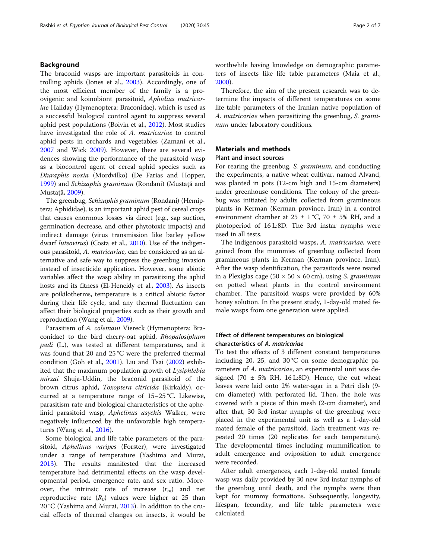# Background

The braconid wasps are important parasitoids in controlling aphids (Jones et al., [2003\)](#page-5-0). Accordingly, one of the most efficient member of the family is a proovigenic and koinobiont parasitoid, Aphidius matricariae Haliday (Hymenoptera: Braconidae), which is used as a successful biological control agent to suppress several aphid pest populations (Boivin et al., [2012\)](#page-5-0). Most studies have investigated the role of A. matricariae to control aphid pests in orchards and vegetables (Zamani et al., [2007](#page-6-0) and Wick [2009\)](#page-6-0). However, there are several evidences showing the performance of the parasitoid wasp as a biocontrol agent of cereal aphid species such as Diuraphis noxia (Mordvilko) (De Farias and Hopper, [1999](#page-5-0)) and Schizaphis graminum (Rondani) (Mustață and Mustață, [2009\)](#page-5-0).

The greenbug, Schizaphis graminum (Rondani) (Hemiptera: Aphididae), is an important aphid pest of cereal crops that causes enormous losses via direct (e.g., sap suction, germination decrease, and other phytotoxic impacts) and indirect damage (virus transmission like barley yellow dwarf *luteovirus*) (Costa et al., [2010](#page-5-0)). Use of the indigenous parasitoid, A. matricariae, can be considered as an alternative and safe way to suppress the greenbug invasion instead of insecticide application. However, some abiotic variables affect the wasp ability in parasitizing the aphid hosts and its fitness (El-Heneidy et al., [2003\)](#page-5-0). As insects are poikilotherms, temperature is a critical abiotic factor during their life cycle, and any thermal fluctuation can affect their biological properties such as their growth and reproduction (Wang et al., [2009](#page-6-0)).

Parasitism of A. colemani Viereck (Hymenoptera: Braconidae) to the bird cherry-oat aphid, Rhopalosiphum padi (L.), was tested at different temperatures, and it was found that 20 and 25 °C were the preferred thermal condition (Goh et al., [2001\)](#page-5-0). Liu and Tsai [\(2002\)](#page-5-0) exhibited that the maximum population growth of Lysiphlebia mirzai Shuja-Uddin, the braconid parasitoid of the brown citrus aphid, Toxoptera citricida (Kirkaldy), occurred at a temperature range of 15–25 °C. Likewise, parasitism rate and biological characteristics of the aphelinid parasitoid wasp, Aphelinus asychis Walker, were negatively influenced by the unfavorable high tempera-tures (Wang et al., [2016\)](#page-5-0).

Some biological and life table parameters of the parasitoid, Aphelinus varipes (Forster), were investigated under a range of temperature (Yashima and Murai, [2013](#page-6-0)). The results manifested that the increased temperature had detrimental effects on the wasp developmental period, emergence rate, and sex ratio. Moreover, the intrinsic rate of increase  $(r_m)$  and net reproductive rate  $(R_0)$  values were higher at 25 than 20 °C (Yashima and Murai, [2013\)](#page-6-0). In addition to the crucial effects of thermal changes on insects, it would be worthwhile having knowledge on demographic parameters of insects like life table parameters (Maia et al., [2000](#page-5-0)).

Therefore, the aim of the present research was to determine the impacts of different temperatures on some life table parameters of the Iranian native population of A. matricariae when parasitizing the greenbug, S. graminum under laboratory conditions.

# Materials and methods

# Plant and insect sources

For rearing the greenbug, S. graminum, and conducting the experiments, a native wheat cultivar, named Alvand, was planted in pots (12-cm high and 15-cm diameters) under greenhouse conditions. The colony of the greenbug was initiated by adults collected from gramineous plants in Kerman (Kerman province, Iran) in a control environment chamber at  $25 \pm 1$  °C, 70  $\pm$  5% RH, and a photoperiod of 16 L:8D. The 3rd instar nymphs were used in all tests.

The indigenous parasitoid wasps, A. matricariae, were gained from the mummies of greenbug collected from gramineous plants in Kerman (Kerman province, Iran). After the wasp identification, the parasitoids were reared in a Plexiglas cage  $(50 \times 50 \times 60 \text{ cm})$ , using S. graminum on potted wheat plants in the control environment chamber. The parasitoid wasps were provided by 60% honey solution. In the present study, 1-day-old mated female wasps from one generation were applied.

# Effect of different temperatures on biological characteristics of A. matricariae

To test the effects of 3 different constant temperatures including 20, 25, and 30 °C on some demographic parameters of A. matricariae, an experimental unit was designed (70  $\pm$  5% RH, 16 L:8D). Hence, the cut wheat leaves were laid onto 2% water-agar in a Petri dish (9 cm diameter) with perforated lid. Then, the hole was covered with a piece of thin mesh (2-cm diameter), and after that, 30 3rd instar nymphs of the greenbug were placed in the experimental unit as well as a 1-day-old mated female of the parasitoid. Each treatment was repeated 20 times (20 replicates for each temperature). The developmental times including mummification to adult emergence and oviposition to adult emergence were recorded.

After adult emergences, each 1-day-old mated female wasp was daily provided by 30 new 3rd instar nymphs of the greenbug until death, and the nymphs were then kept for mummy formations. Subsequently, longevity, lifespan, fecundity, and life table parameters were calculated.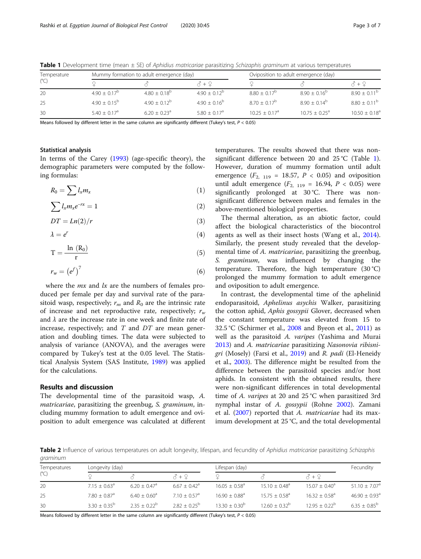| Temperature<br>$(^{\circ}C)$ |                       | Mummy formation to adult emergence (day) |                 | Oviposition to adult emergence (day) |                             |                  |  |
|------------------------------|-----------------------|------------------------------------------|-----------------|--------------------------------------|-----------------------------|------------------|--|
|                              |                       |                                          | ζ + Ω           |                                      |                             | የ + ና            |  |
| 20                           | $4.90 + 0.17^{\circ}$ | $4.80 + 0.18^b$                          | $4.90 + 0.12^b$ | $8.80 + 0.17^b$                      | $8.90 + 0.16^b$             | $8.90 + 0.11^b$  |  |
| 25                           | $4.90 + 0.15^{\rm b}$ | $4.90 + 0.12^b$                          | $4.90 + 0.16^b$ | $8.70 + 0.17^b$                      | $8.90 + 0.14^b$             | $8.80 + 0.11^b$  |  |
| 30                           | $5.40 + 0.17a$        | $6.20 + 0.23$ <sup>a</sup>               | $5.80 + 0.17a$  | $10.25 + 0.17$ <sup>a</sup>          | $10.75 + 0.25$ <sup>a</sup> | $10.50 + 0.18^a$ |  |

<span id="page-2-0"></span>Table 1 Development time (mean ± SE) of Aphidius matricariae parasitizing Schizaphis graminum at various temperatures

Means followed by different letter in the same column are significantly different (Tukey's test,  $P < 0.05$ )

### Statistical analysis

In terms of the Carey [\(1993\)](#page-5-0) (age-specific theory), the demographic parameters were computed by the following formulas:

$$
R_0 = \sum l_x m_x \tag{1}
$$

$$
\sum l_x m_x e^{-rx} = 1 \tag{2}
$$

$$
DT = Ln(2)/r \tag{3}
$$

$$
\lambda = e^r \tag{4}
$$

$$
T=\frac{\ln\ (R_0)}{r}\qquad \qquad (5)
$$

$$
r_w = \left(e^f\right)^7 \tag{6}
$$

where the  $mx$  and  $lx$  are the numbers of females produced per female per day and survival rate of the parasitoid wasp, respectively;  $r_m$  and  $R_0$  are the intrinsic rate of increase and net reproductive rate, respectively;  $r_w$ and  $\lambda$  are the increase rate in one week and finite rate of increase, respectively; and  $T$  and  $DT$  are mean generation and doubling times. The data were subjected to analysis of variance (ANOVA), and the averages were compared by Tukey's test at the 0.05 level. The Statistical Analysis System (SAS Institute, [1989](#page-5-0)) was applied for the calculations.

# Results and discussion

The developmental time of the parasitoid wasp, A. matricariae, parasitizing the greenbug, S. graminum, including mummy formation to adult emergence and oviposition to adult emergence was calculated at different temperatures. The results showed that there was nonsignificant difference between 20 and 25 °C (Table 1). However, duration of mummy formation until adult emergence  $(F_{2, 119} = 18.57, P < 0.05)$  and oviposition until adult emergence  $(F_{2, 119} = 16.94, P < 0.05)$  were significantly prolonged at 30 °C. There was nonsignificant difference between males and females in the above-mentioned biological properties.

The thermal alteration, as an abiotic factor, could affect the biological characteristics of the biocontrol agents as well as their insect hosts (Wang et al., [2014](#page-5-0)). Similarly, the present study revealed that the developmental time of A. *matricariae*, parasitizing the greenbug, S. *graminum*, was influenced by changing the temperature. Therefore, the high temperature (30 °C) prolonged the mummy formation to adult emergence and oviposition to adult emergence.

In contrast, the developmental time of the aphelinid endoparasitoid, Aphelinus asychis Walker, parasitizing the cotton aphid, Aphis gossypii Glover, decreased when the constant temperature was elevated from 15 to 32.5 °C (Schirmer et al., [2008](#page-5-0) and Byeon et al., [2011\)](#page-5-0) as well as the parasitoid A. varipes (Yashima and Murai [2013](#page-6-0)) and A. matricariae parasitizing Nasonovia ribisnigri (Mosely) (Farsi et al., [2019](#page-5-0)) and R. padi (El-Heneidy et al., [2003\)](#page-5-0). The difference might be resulted from the difference between the parasitoid species and/or host aphids. In consistent with the obtained results, there were non-significant differences in total developmental time of A. varipes at 20 and 25 °C when parasitized 3rd nymphal instar of A. gossypii (Rohne [2002](#page-5-0)). Zamani et al. [\(2007\)](#page-6-0) reported that A. matricariae had its maximum development at 25 °C, and the total developmental

Table 2 Influence of various temperatures on adult longevity, lifespan, and fecundity of Aphidius matricariae parasitizing Schizaphis graminum

| Temperatures<br>$(^{\circ}C)$ | Longevity (day)            |                            |                              | Lifespan (day)              |                             |                             | Fecundity                     |
|-------------------------------|----------------------------|----------------------------|------------------------------|-----------------------------|-----------------------------|-----------------------------|-------------------------------|
|                               |                            |                            | イ + 9                        |                             |                             | ⋌ + ∂                       |                               |
| 20                            | $7.15 + 0.63$ <sup>a</sup> | $6.20 + 0.47$ <sup>a</sup> | $6.67 \pm 0.42$ <sup>a</sup> | $16.05 + 0.58$ <sup>a</sup> | $15.10 + 0.48$ <sup>a</sup> | $15.07 + 0.40$ <sup>a</sup> | $51.10 \pm 7.07$ <sup>a</sup> |
| 25                            | $7.80 + 0.87$ <sup>a</sup> | $6.40 \pm 0.60^{\circ}$    | $7.10 + 0.57$ <sup>a</sup>   | $16.90 + 0.88^a$            | $15.75 + 0.58^{\circ}$      | $16.32 + 0.58^{\circ}$      | $46.90 \pm 0.93$ <sup>a</sup> |
| 30                            | $3.30 + 0.35^{b}$          | $2.35 + 0.22^b$            | $2.82 + 0.25^{\circ}$        | $13.30 + 0.30^{\circ}$      | $12.60 + 0.32^b$            | $12.95 + 0.22^b$            | $6.35 + 0.85^{\circ}$         |

Means followed by different letter in the same column are significantly different (Tukey's test,  $P < 0.05$ )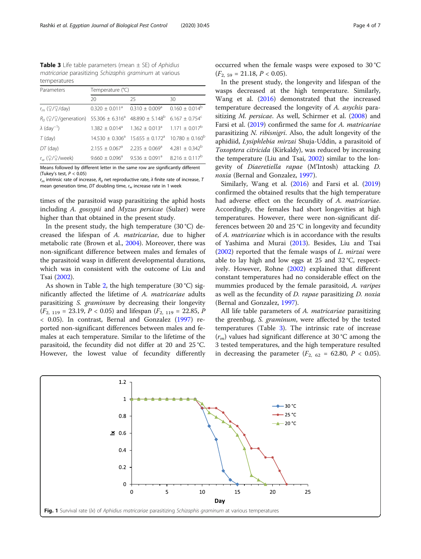<span id="page-3-0"></span>**Table 3** Life table parameters (mean  $\pm$  SE) of Aphidius matricariae parasitizing Schizaphis graminum at various temperatures

| Temperature (°C) |                              |                                                                                                                                                                                                                                                                                                                                                                                                                       |  |  |
|------------------|------------------------------|-----------------------------------------------------------------------------------------------------------------------------------------------------------------------------------------------------------------------------------------------------------------------------------------------------------------------------------------------------------------------------------------------------------------------|--|--|
| 20               | 25                           | 30                                                                                                                                                                                                                                                                                                                                                                                                                    |  |  |
|                  |                              | $0.160 \pm 0.014^b$                                                                                                                                                                                                                                                                                                                                                                                                   |  |  |
|                  |                              |                                                                                                                                                                                                                                                                                                                                                                                                                       |  |  |
|                  |                              |                                                                                                                                                                                                                                                                                                                                                                                                                       |  |  |
|                  |                              | $10.780 \pm 0.160^{\circ}$                                                                                                                                                                                                                                                                                                                                                                                            |  |  |
|                  | $2.235 + 0.069$ <sup>a</sup> | $4.281 + 0.342^b$                                                                                                                                                                                                                                                                                                                                                                                                     |  |  |
|                  |                              | $8.216 \pm 0.117^b$                                                                                                                                                                                                                                                                                                                                                                                                   |  |  |
|                  |                              | $0.320 \pm 0.011^a$ 0.310 $\pm$ 0.009 <sup>a</sup><br>$R_0$ ( $\frac{1}{2}$ /generation) 55.306 ± 6.316 <sup>a</sup> 48.890 ± 5.148 <sup>b</sup> 6.167 ± 0.754 <sup>c</sup><br>$1.382 \pm 0.014$ <sup>a</sup> $1.362 \pm 0.013$ <sup>a</sup> $1.171 \pm 0.017$ <sup>b</sup><br>$14.530 + 0.306^a$ 15.655 + 0.172 <sup>a</sup><br>$2.155 \pm 0.067$ <sup>a</sup><br>$9.660 \pm 0.096^a$ 9.536 $\pm$ 0.091 <sup>a</sup> |  |  |

Means followed by different letter in the same row are significantly different (Tukey's test,  $P < 0.05$ )

 $r_m$  intrinsic rate of increase,  $R_0$  net reproductive rate,  $\lambda$  finite rate of increase, T mean generation time, DT doubling time,  $r_w$  increase rate in 1 week

times of the parasitoid wasp parasitizing the aphid hosts including A. gossypii and Myzus persicae (Sulzer) were higher than that obtained in the present study.

In the present study, the high temperature  $(30 °C)$  decreased the lifespan of A. matricariae, due to higher metabolic rate (Brown et al., [2004](#page-5-0)). Moreover, there was non-significant difference between males and females of the parasitoid wasp in different developmental durations, which was in consistent with the outcome of Liu and Tsai [\(2002\)](#page-5-0).

As shown in Table [2](#page-2-0), the high temperature (30 °C) significantly affected the lifetime of A. matricariae adults parasitizing S. graminum by decreasing their longevity  $(F_{2, 119} = 23.19, P < 0.05)$  and lifespan  $(F_{2, 119} = 22.85, P$ < 0.05). In contrast, Bernal and Gonzalez [\(1997](#page-5-0)) reported non-significant differences between males and females at each temperature. Similar to the lifetime of the parasitoid, the fecundity did not differ at 20 and 25 °C. However, the lowest value of fecundity differently occurred when the female wasps were exposed to 30 °C  $(F_{2, 59} = 21.18, P < 0.05).$ 

In the present study, the longevity and lifespan of the wasps decreased at the high temperature. Similarly, Wang et al. ([2016](#page-5-0)) demonstrated that the increased temperature decreased the longevity of A. asychis para-sitizing M. persicae. As well, Schirmer et al. ([2008](#page-5-0)) and Farsi et al. [\(2019](#page-5-0)) confirmed the same for A. *matricariae* parasitizing N. ribisnigri. Also, the adult longevity of the aphidiid, Lysiphlebia mirzai Shuja-Uddin, a parasitoid of Toxoptera citricida (Kirkaldy), was reduced by increasing the temperature (Liu and Tsai, [2002\)](#page-5-0) similar to the longevity of Diaeretiella rapae (M'Intosh) attacking D. noxia (Bernal and Gonzalez, [1997](#page-5-0)).

Similarly, Wang et al. [\(2016](#page-5-0)) and Farsi et al. ([2019](#page-5-0)) confirmed the obtained results that the high temperature had adverse effect on the fecundity of A. matricariae. Accordingly, the females had short longevities at high temperatures. However, there were non-significant differences between 20 and 25 °C in longevity and fecundity of A. matricariae which is in accordance with the results of Yashima and Murai [\(2013\)](#page-6-0). Besides, Liu and Tsai  $(2002)$  $(2002)$  reported that the female wasps of L. mirzai were able to lay high and low eggs at 25 and 32 °C, respectively. However, Rohne ([2002](#page-5-0)) explained that different constant temperatures had no considerable effect on the mummies produced by the female parasitoid, A. varipes as well as the fecundity of D. rapae parasitizing D. noxia (Bernal and Gonzalez, [1997\)](#page-5-0).

All life table parameters of A. matricariae parasitizing the greenbug, S. graminum, were affected by the tested temperatures (Table 3). The intrinsic rate of increase  $(r_m)$  values had significant difference at 30 °C among the 3 tested temperatures, and the high temperature resulted in decreasing the parameter  $(F_{2, 62} = 62.80, P < 0.05)$ .

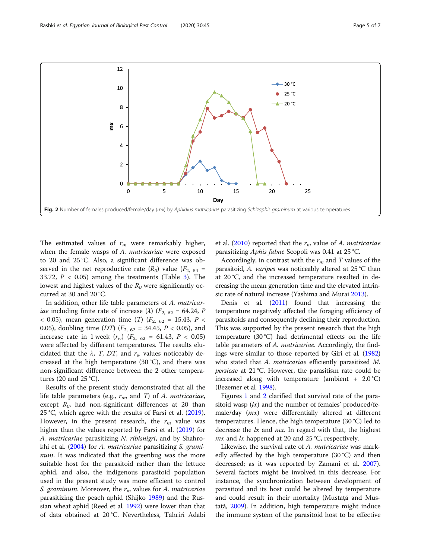

The estimated values of  $r_m$  were remarkably higher, when the female wasps of A. matricariae were exposed to 20 and 25 °C. Also, a significant difference was observed in the net reproductive rate  $(R_0)$  value  $(F_{2, 54}$  = [3](#page-3-0)3.72,  $P < 0.05$ ) among the treatments (Table 3). The lowest and highest values of the  $R_0$  were significantly occurred at 30 and 20 °C.

In addition, other life table parameters of A. matricar*iae* including finite rate of increase ( $\lambda$ ) ( $F_{2, 62}$  = 64.24, P < 0.05), mean generation time (*T*) ( $F_{2, 62} = 15.43, P <$ 0.05), doubling time (DT) ( $F_{2, 62} = 34.45$ ,  $P < 0.05$ ), and increase rate in 1 week  $(r_w)$   $(F_{2, 62} = 61.43, P < 0.05)$ were affected by different temperatures. The results elucidated that the  $\lambda$ , T, DT, and  $r_w$  values noticeably decreased at the high temperature (30 °C), and there was non-significant difference between the 2 other temperatures (20 and 25 °C).

Results of the present study demonstrated that all the life table parameters (e.g.,  $r_m$ , and T) of A. *matricariae*, except  $R_0$ , had non-significant differences at 20 than 25 °C, which agree with the results of Farsi et al. ([2019](#page-5-0)). However, in the present research, the  $r_m$  value was higher than the values reported by Farsi et al. ([2019](#page-5-0)) for A. matricariae parasitizing N. ribisnigri, and by Shahrokhi et al. [\(2004\)](#page-5-0) for A. matricariae parasitizing S. grami*num*. It was indicated that the greenbug was the more suitable host for the parasitoid rather than the lettuce aphid, and also, the indigenous parasitoid population used in the present study was more efficient to control S. graminum. Moreover, the  $r_m$  values for A. matricariae parasitizing the peach aphid (Shijko [1989\)](#page-5-0) and the Russian wheat aphid (Reed et al. [1992](#page-5-0)) were lower than that of data obtained at 20 °C. Nevertheless, Tahriri Adabi et al. ([2010\)](#page-5-0) reported that the  $r_m$  value of A. *matricariae* parasitizing Aphis fabae Scopoli was 0.41 at 25 °C.

Accordingly, in contrast with the  $r_m$  and T values of the parasitoid, A. varipes was noticeably altered at 25 °C than at 20 °C, and the increased temperature resulted in decreasing the mean generation time and the elevated intrinsic rate of natural increase (Yashima and Murai [2013\)](#page-6-0).

Denis et al. [\(2011\)](#page-5-0) found that increasing the temperature negatively affected the foraging efficiency of parasitoids and consequently declining their reproduction. This was supported by the present research that the high temperature (30 °C) had detrimental effects on the life table parameters of A. matricariae. Accordingly, the findings were similar to those reported by Giri et al. [\(1982](#page-5-0)) who stated that A. matricariae efficiently parasitized M. persicae at 21 °C. However, the parasitism rate could be increased along with temperature (ambient  $+ 2.0 \degree C$ ) (Bezemer et al. [1998\)](#page-5-0).

Figures [1](#page-3-0) and 2 clarified that survival rate of the parasitoid wasp  $(lx)$  and the number of females' produced/female/day (mx) were differentially altered at different temperatures. Hence, the high temperature (30 °C) led to decrease the  $lx$  and  $mx$ . In regard with that, the highest  $mx$  and  $lx$  happened at 20 and 25 °C, respectively.

Likewise, the survival rate of A. matricariae was markedly affected by the high temperature (30 °C) and then decreased; as it was reported by Zamani et al. [2007](#page-6-0)). Several factors might be involved in this decrease. For instance, the synchronization between development of parasitoid and its host could be altered by temperature and could result in their mortality (Mustață and Mustață, [2009\)](#page-5-0). In addition, high temperature might induce the immune system of the parasitoid host to be effective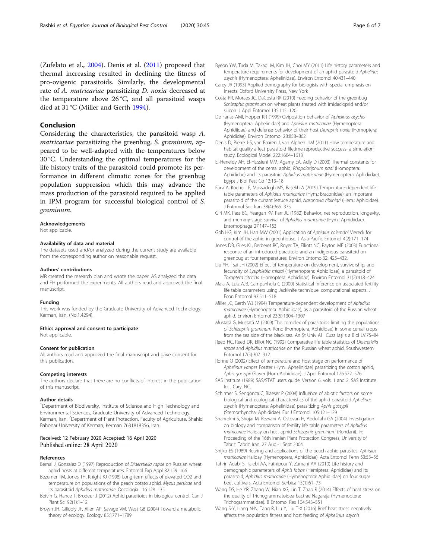<span id="page-5-0"></span>(Zufelato et al., [2004](#page-6-0)). Denis et al. (2011) proposed that thermal increasing resulted in declining the fitness of pro-ovigenic parasitoids. Similarly, the developmental rate of A. matricariae parasitizing D. noxia decreased at the temperature above 26 °C, and all parasitoid wasps died at 31 °C (Miller and Gerth 1994).

# Conclusion

Considering the characteristics, the parasitoid wasp A. matricariae parasitizing the greenbug, S. graminum, appeared to be well-adapted with the temperatures below 30 °C. Understanding the optimal temperatures for the life history traits of the parasitoid could promote its performance in different climatic zones for the greenbug population suppression which this may advance the mass production of the parasitoid required to be applied in IPM program for successful biological control of S. graminum.

#### Acknowledgements

Not applicable.

### Availability of data and material

The datasets used and/or analyzed during the current study are available from the corresponding author on reasonable request.

#### Authors' contributions

MR created the research plan and wrote the paper. AS analyzed the data and FH performed the experiments. All authors read and approved the final manuscript.

### Funding

This work was funded by the Graduate University of Advanced Technology, Kerman, Iran, (No.1.4294).

#### Ethics approval and consent to participate

Not applicable.

### Consent for publication

All authors read and approved the final manuscript and gave consent for this publication.

### Competing interests

The authors declare that there are no conflicts of interest in the publication of this manuscript.

#### Author details

<sup>1</sup>Department of Biodiversity, Institute of Science and High Technology and Environmental Sciences, Graduate University of Advanced Technology, Kerman, Iran. <sup>2</sup>Department of Plant Protection, Faculty of Agriculture, Shahid Bahonar University of Kerman, Kerman 7631818356, Iran.

### Received: 12 February 2020 Accepted: 16 April 2020 Published online: 28 April 2020

### References

- Bernal J, Gonzalez D (1997) Reproduction of Diaeretiella rapae on Russian wheat aphid hosts at different temperatures. Entomol Exp Appl 82:159–166
- Bezemer TM, Jones TH, Knight KJ (1998) Long-term effects of elevated CO2 and temperature on populations of the peach potato aphid, Myzus persicae and its parasitoid Aphidius matricariae. Oecologia 116:128–135
- Boivin G, Hance T, Brodeur J (2012) Aphid parasitoids in biological control. Can J Plant Sci 92(1):1–12
- Brown JH, Gillooly JF, Allen AP, Savage VM, West GB (2004) Toward a metabolic theory of ecology. Ecology 85:1771–1789
- Byeon YW, Tuda M, Takagi M, Kim JH, Choi MY (2011) Life history parameters and temperature requirements for development of an aphid parasitoid Aphelinus asychis (Hymenoptera: Aphelinidae). Environ Entomol 40:431–440
- Carey JR (1993) Applied demography for biologists with special emphasis on insects. Oxford University Press, New York
- Costa RR, Moraes JC, DaCosta RR (2010) Feeding behavior of the greenbug Schizaphis graminum on wheat plants treated with imidacloprid and/or silicon. J Appl Entomol 135:115–120
- De Farias AMI, Hopper KR (1999) Oviposition behavior of Aphelinus asychis (Hymenoptera: Aphelinidae) and Aphidius matricariae (Hymenoptera: Aphidiidae) and defense behavior of their host Diuraphis noxia (Homoptera: Aphididae). Environ Entomol 28:858–862
- Denis D, Pierre J-S, van Baaren J, van Alphen JJM (2011) How temperature and habitat quality affect parasitoid lifetime reproductive success- a simulation study. Ecological Model 222:1604–1613
- El-Heneidy AH, El-Hussieni MM, Agamy EA, Adly D (2003) Thermal constants for development of the cereal aphid, Rhopalosiphum padi (Homoptera: Aphididae) and its parasitoid Aphidius matricariae (Hymenoptera: Aphidiidae). Egypt J Biol Pest Co 13:13–18
- Farsi A, Kocheili F, Mossadegh MS, Rasekh A (2019) Temperature-dependent life table parameters of Aphidius matricariae (Hym.: Braconidae), an important parasitoid of the currant lettuce aphid, Nasonovia ribiinigri (Hem.: Aphididae). J Entomol Soc Iran 38(4):365–375
- Giri MK, Pass BC, Yeargan KV, Parr JC (1982) Behavior, net reproduction, longevity, and mummy-stage survival of Aphidius matricariae (Hym.: Aphidiidae). Entomophaga 27:147–153
- Goh HG, Kim JH, Han MW (2001) Application of Aphidius colemani Viereck for control of the aphid in greenhouse. J Asia-Pacific Entomol 4(2):171–174
- Jones DB, Giles KL, Berberet RC, Royer TA, Elliott NC, Payton ME (2003) Functional response of an introduced parasitoid and an indigenous parasitoid on greenbug at four temperatures. Environ Entomol32: 425–432.
- Liu YH, Tsai JH (2002) Effect of temperature on development, survivorship, and fecundity of Lysiphlebia mirzai (Hymenoptera: Aphidiidae), a parasitoid of Toxoptera citricida (Homoptera: Aphididae). Environ Entomol 31(2):418–424
- Maia A, Luiz AJB, Campanhola C (2000) Statistical inference on associated fertility life table parameters using Jackknife technique: computational aspects. J Econ Entomol 93:511–518
- Miller JC, Gerth WJ (1994) Temperature-dependent development of Aphidius matricariae (Hymenoptera: Aphidiidae), as a parasitoid of the Russian wheat aphid. Environ Entomol 23(5):1304–1307
- Mustață G, Mustață M (2009) The complex of parasitoids limiting the populations of Schizaphis graminum Rond (Homoptera, Aphididae) in some cereal crops from the sea side of the black sea. An Șt Univ Al I Cuza Iași s a Biol LV:75–84
- Reed HC, Reed DK, Elliot NC (1992) Comparative life table statistics of Diaeretiella rapae and Aphidius matricariae on the Russian wheat aphid. Southwestern Entomol 17(5):307–312
- Rohne O (2002) Effect of temperature and host stage on performance of Aphelinus varipes Forster (Hym., Aphelinidae) parasitizing the cotton aphid, Aphis gossypii Glover (Hom.:Aphididae). J Appl Entomol 126:572–576
- SAS Institute (1989) SAS/STAT users guide, Version 6, vols. 1 and 2. SAS Institute Inc., Cary, NC.
- Schirmer S, Sengonca C, Blaeser P (2008) Influence of abiotic factors on some biological and ecological characteristics of the aphid parasitoid Aphelinus asychis (Hymenoptera: Aphelinidae) parasitizing Aphis gossypii (Sternorrhyncha: Aphididae). Eur J Entomol 105:121–129
- Shahrokhi S, Shojai M, Rezvani A, Ostovan H, Abdollahi GA (2004) Investigation on biology and comparison of fertility life table parameters of Aphidius matricariae Haliday on host aphid Schizaphis graminum (Rondani). In: Proceeding of the 16th Iranian Plant Protection Congress, University of Tabriz, Tabriz, Iran, 27 Aug.-1 Sept 2004.
- Shijko ES (1989) Rearing and applications of the peach aphid parasites, Aphidius matricariae Haliday (Hymenoptera, Aphidiidae). Acta Entomol Fenn 53:53–56
- Tahriri Adabi S, Talebi AA, Fathipour Y, Zamani AA (2010) Life history and demographic parameters of Aphis fabae (Hemiptera: Aphididae) and its parasitoid, Aphidius matricariae (Hymenoptera: Aphidiidae) on four sugar beet cultivars. Acta Entomol Serbica 15(1):61–73
- Wang DS, He YR, Zhang W, Nian XG, Lin T, Zhao R (2014) Effects of heat stress on the quality of Trichogrammatoidea bactrae Nagaraja (Hymenoptera: Trichogrammatidae). B Entomol Res 104:543–551
- Wang S-Y, Liang N-N, Tang R, Liu Y, Liu T-X (2016) Brief heat stress negatively affects the population fitness and host feeding of Aphelinus asychis